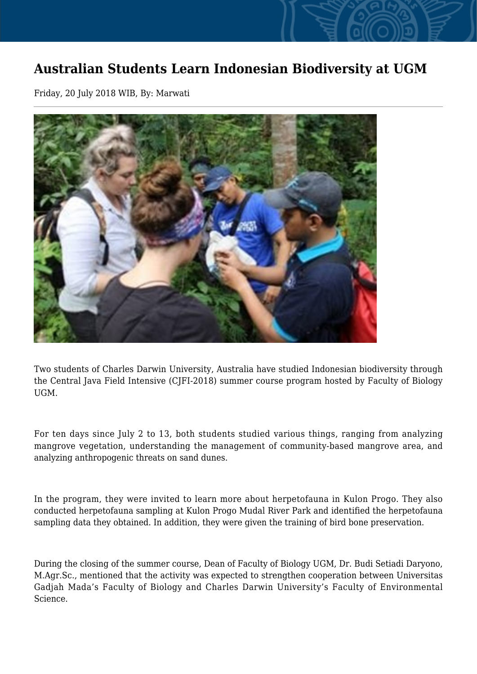## **Australian Students Learn Indonesian Biodiversity at UGM**

Friday, 20 July 2018 WIB, By: Marwati



Two students of Charles Darwin University, Australia have studied Indonesian biodiversity through the Central Java Field Intensive (CJFI-2018) summer course program hosted by Faculty of Biology UGM.

For ten days since July 2 to 13, both students studied various things, ranging from analyzing mangrove vegetation, understanding the management of community-based mangrove area, and analyzing anthropogenic threats on sand dunes.

In the program, they were invited to learn more about herpetofauna in Kulon Progo. They also conducted herpetofauna sampling at Kulon Progo Mudal River Park and identified the herpetofauna sampling data they obtained. In addition, they were given the training of bird bone preservation.

During the closing of the summer course, Dean of Faculty of Biology UGM, Dr. Budi Setiadi Daryono, M.Agr.Sc., mentioned that the activity was expected to strengthen cooperation between Universitas Gadjah Mada's Faculty of Biology and Charles Darwin University's Faculty of Environmental Science.